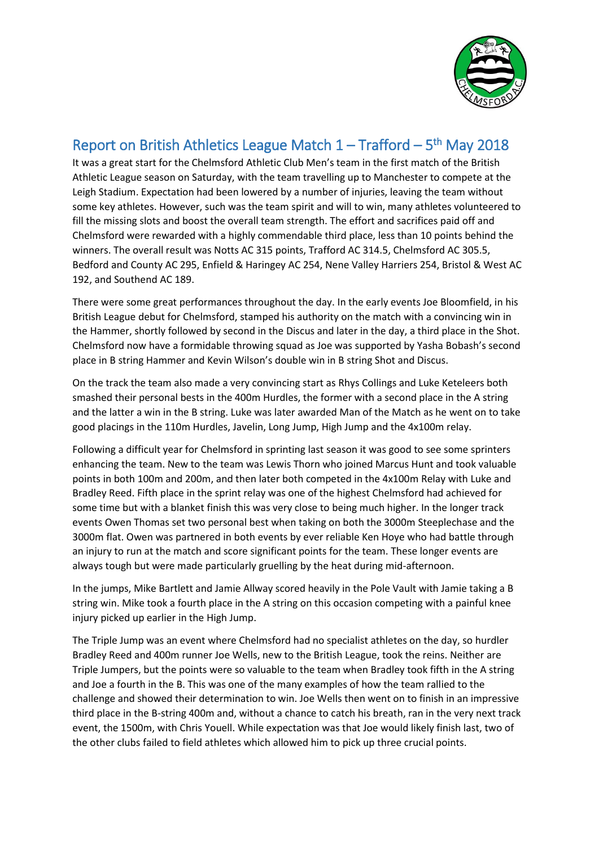

## Report on British Athletics League Match  $1 - \text{Trafford} - 5^{\text{th}}$  May 2018

It was a great start for the Chelmsford Athletic Club Men's team in the first match of the British Athletic League season on Saturday, with the team travelling up to Manchester to compete at the Leigh Stadium. Expectation had been lowered by a number of injuries, leaving the team without some key athletes. However, such was the team spirit and will to win, many athletes volunteered to fill the missing slots and boost the overall team strength. The effort and sacrifices paid off and Chelmsford were rewarded with a highly commendable third place, less than 10 points behind the winners. The overall result was Notts AC 315 points, Trafford AC 314.5, Chelmsford AC 305.5, Bedford and County AC 295, Enfield & Haringey AC 254, Nene Valley Harriers 254, Bristol & West AC 192, and Southend AC 189.

There were some great performances throughout the day. In the early events Joe Bloomfield, in his British League debut for Chelmsford, stamped his authority on the match with a convincing win in the Hammer, shortly followed by second in the Discus and later in the day, a third place in the Shot. Chelmsford now have a formidable throwing squad as Joe was supported by Yasha Bobash's second place in B string Hammer and Kevin Wilson's double win in B string Shot and Discus.

On the track the team also made a very convincing start as Rhys Collings and Luke Keteleers both smashed their personal bests in the 400m Hurdles, the former with a second place in the A string and the latter a win in the B string. Luke was later awarded Man of the Match as he went on to take good placings in the 110m Hurdles, Javelin, Long Jump, High Jump and the 4x100m relay.

Following a difficult year for Chelmsford in sprinting last season it was good to see some sprinters enhancing the team. New to the team was Lewis Thorn who joined Marcus Hunt and took valuable points in both 100m and 200m, and then later both competed in the 4x100m Relay with Luke and Bradley Reed. Fifth place in the sprint relay was one of the highest Chelmsford had achieved for some time but with a blanket finish this was very close to being much higher. In the longer track events Owen Thomas set two personal best when taking on both the 3000m Steeplechase and the 3000m flat. Owen was partnered in both events by ever reliable Ken Hoye who had battle through an injury to run at the match and score significant points for the team. These longer events are always tough but were made particularly gruelling by the heat during mid-afternoon.

In the jumps, Mike Bartlett and Jamie Allway scored heavily in the Pole Vault with Jamie taking a B string win. Mike took a fourth place in the A string on this occasion competing with a painful knee injury picked up earlier in the High Jump.

The Triple Jump was an event where Chelmsford had no specialist athletes on the day, so hurdler Bradley Reed and 400m runner Joe Wells, new to the British League, took the reins. Neither are Triple Jumpers, but the points were so valuable to the team when Bradley took fifth in the A string and Joe a fourth in the B. This was one of the many examples of how the team rallied to the challenge and showed their determination to win. Joe Wells then went on to finish in an impressive third place in the B-string 400m and, without a chance to catch his breath, ran in the very next track event, the 1500m, with Chris Youell. While expectation was that Joe would likely finish last, two of the other clubs failed to field athletes which allowed him to pick up three crucial points.